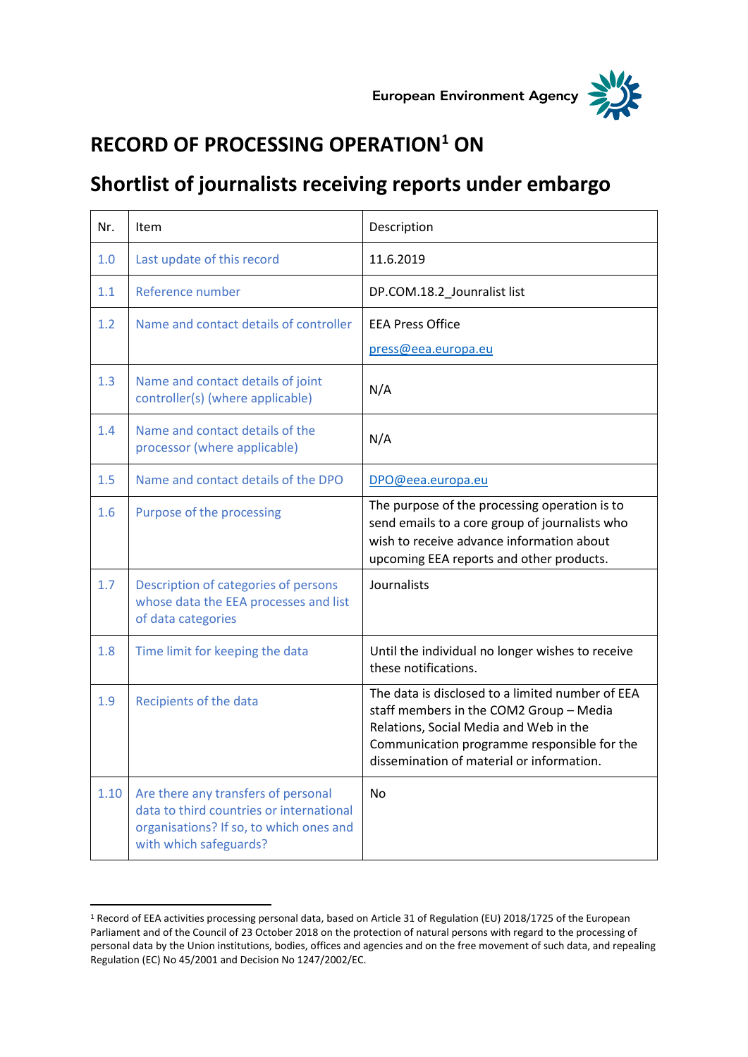



## **RECORD OF PROCESSING OPERATION<sup>1</sup> ON**

## **Shortlist of journalists receiving reports under embargo**

| Nr.  | Item                                                                                                                                                 | Description                                                                                                                                                                                                                       |
|------|------------------------------------------------------------------------------------------------------------------------------------------------------|-----------------------------------------------------------------------------------------------------------------------------------------------------------------------------------------------------------------------------------|
| 1.0  | Last update of this record                                                                                                                           | 11.6.2019                                                                                                                                                                                                                         |
| 1.1  | Reference number                                                                                                                                     | DP.COM.18.2_Jounralist list                                                                                                                                                                                                       |
| 1.2  | Name and contact details of controller                                                                                                               | <b>EEA Press Office</b><br>press@eea.europa.eu                                                                                                                                                                                    |
| 1.3  | Name and contact details of joint<br>controller(s) (where applicable)                                                                                | N/A                                                                                                                                                                                                                               |
| 1.4  | Name and contact details of the<br>processor (where applicable)                                                                                      | N/A                                                                                                                                                                                                                               |
| 1.5  | Name and contact details of the DPO                                                                                                                  | DPO@eea.europa.eu                                                                                                                                                                                                                 |
| 1.6  | Purpose of the processing                                                                                                                            | The purpose of the processing operation is to<br>send emails to a core group of journalists who<br>wish to receive advance information about<br>upcoming EEA reports and other products.                                          |
| 1.7  | Description of categories of persons<br>whose data the EEA processes and list<br>of data categories                                                  | Journalists                                                                                                                                                                                                                       |
| 1.8  | Time limit for keeping the data                                                                                                                      | Until the individual no longer wishes to receive<br>these notifications.                                                                                                                                                          |
| 1.9  | Recipients of the data                                                                                                                               | The data is disclosed to a limited number of EEA<br>staff members in the COM2 Group - Media<br>Relations, Social Media and Web in the<br>Communication programme responsible for the<br>dissemination of material or information. |
| 1.10 | Are there any transfers of personal<br>data to third countries or international<br>organisations? If so, to which ones and<br>with which safeguards? | N <sub>0</sub>                                                                                                                                                                                                                    |

<sup>1</sup> Record of EEA activities processing personal data, based on Article 31 of Regulation (EU) 2018/1725 of the European Parliament and of the Council of 23 October 2018 on the protection of natural persons with regard to the processing of personal data by the Union institutions, bodies, offices and agencies and on the free movement of such data, and repealing Regulation (EC) No 45/2001 and Decision No 1247/2002/EC.

 $\overline{a}$